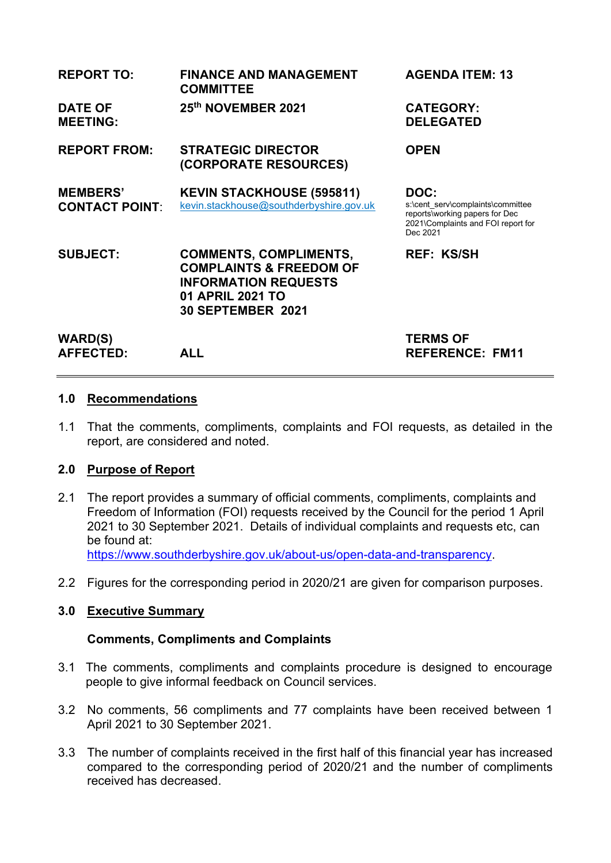| <b>REPORT TO:</b>                        | <b>FINANCE AND MANAGEMENT</b><br><b>COMMITTEE</b>                                                                                                  | <b>AGENDA ITEM: 13</b>                                                                                                        |
|------------------------------------------|----------------------------------------------------------------------------------------------------------------------------------------------------|-------------------------------------------------------------------------------------------------------------------------------|
| <b>DATE OF</b><br><b>MEETING:</b>        | 25th NOVEMBER 2021                                                                                                                                 | <b>CATEGORY:</b><br><b>DELEGATED</b>                                                                                          |
| <b>REPORT FROM:</b>                      | <b>STRATEGIC DIRECTOR</b><br>(CORPORATE RESOURCES)                                                                                                 | <b>OPEN</b>                                                                                                                   |
| <b>MEMBERS'</b><br><b>CONTACT POINT:</b> | <b>KEVIN STACKHOUSE (595811)</b><br>kevin.stackhouse@southderbyshire.gov.uk                                                                        | DOC:<br>s:\cent serv\complaints\committee<br>reports\working papers for Dec<br>2021\Complaints and FOI report for<br>Dec 2021 |
| <b>SUBJECT:</b>                          | <b>COMMENTS, COMPLIMENTS,</b><br><b>COMPLAINTS &amp; FREEDOM OF</b><br><b>INFORMATION REQUESTS</b><br>01 APRIL 2021 TO<br><b>30 SEPTEMBER 2021</b> | <b>REF: KS/SH</b>                                                                                                             |
| <b>WARD(S)</b><br><b>AFFECTED:</b>       | <b>ALL</b>                                                                                                                                         | <b>TERMS OF</b><br><b>REFERENCE: FM11</b>                                                                                     |

#### **1.0 Recommendations**

1.1 That the comments, compliments, complaints and FOI requests, as detailed in the report, are considered and noted.

### **2.0 Purpose of Report**

- 2.1 The report provides a summary of official comments, compliments, complaints and Freedom of Information (FOI) requests received by the Council for the period 1 April 2021 to 30 September 2021. Details of individual complaints and requests etc, can be found at: [https://www.southderbyshire.gov.uk/about-us/open-data-and-transparency.](https://www.southderbyshire.gov.uk/about-us/open-data-and-transparency)
- 2.2 Figures for the corresponding period in 2020/21 are given for comparison purposes.

#### **3.0 Executive Summary**

#### **Comments, Compliments and Complaints**

- 3.1 The comments, compliments and complaints procedure is designed to encourage people to give informal feedback on Council services.
- 3.2 No comments, 56 compliments and 77 complaints have been received between 1 April 2021 to 30 September 2021.
- 3.3 The number of complaints received in the first half of this financial year has increased compared to the corresponding period of 2020/21 and the number of compliments received has decreased.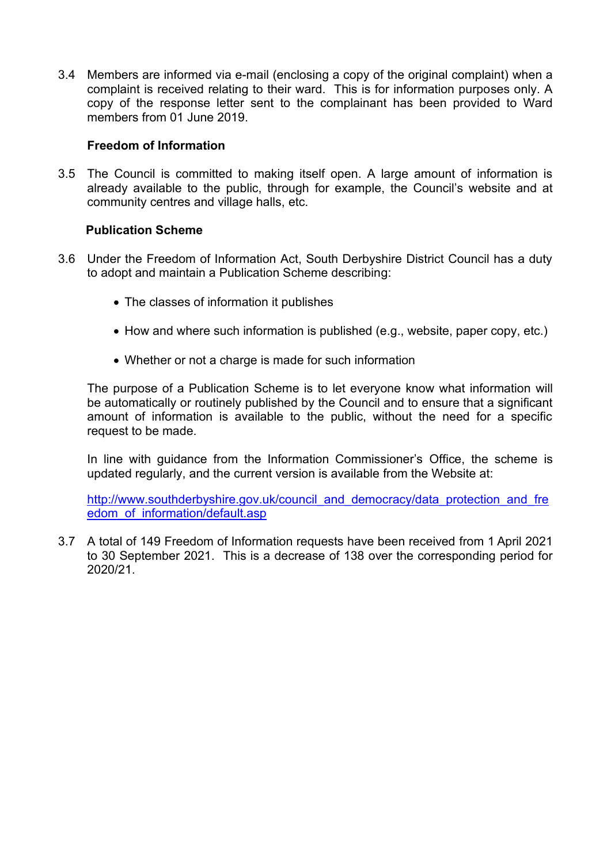3.4 Members are informed via e-mail (enclosing a copy of the original complaint) when a complaint is received relating to their ward. This is for information purposes only. A copy of the response letter sent to the complainant has been provided to Ward members from 01 June 2019.

### **Freedom of Information**

3.5 The Council is committed to making itself open. A large amount of information is already available to the public, through for example, the Council's website and at community centres and village halls, etc.

## **Publication Scheme**

- 3.6 Under the Freedom of Information Act, South Derbyshire District Council has a duty to adopt and maintain a Publication Scheme describing:
	- The classes of information it publishes
	- How and where such information is published (e.g., website, paper copy, etc.)
	- Whether or not a charge is made for such information

 The purpose of a Publication Scheme is to let everyone know what information will be automatically or routinely published by the Council and to ensure that a significant amount of information is available to the public, without the need for a specific request to be made.

In line with guidance from the Information Commissioner's Office, the scheme is updated regularly, and the current version is available from the Website at:

[http://www.southderbyshire.gov.uk/council\\_and\\_democracy/data\\_protection\\_and\\_fre](http://www.southderbyshire.gov.uk/council_and_democracy/data_protection_and_freedom_of_information/default.asp) [edom\\_of\\_information/default.asp](http://www.southderbyshire.gov.uk/council_and_democracy/data_protection_and_freedom_of_information/default.asp)

3.7 A total of 149 Freedom of Information requests have been received from 1 April 2021 to 30 September 2021. This is a decrease of 138 over the corresponding period for 2020/21.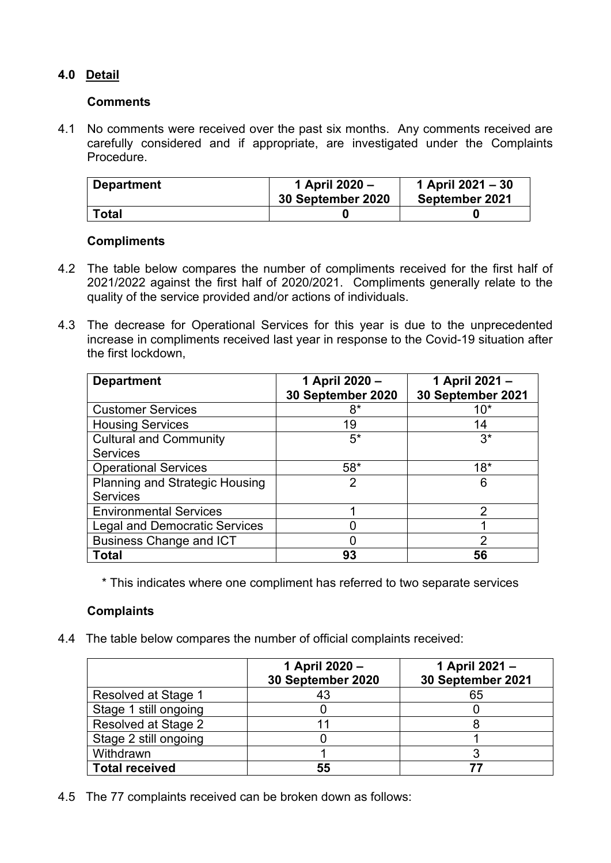# **4.0 Detail**

### **Comments**

4.1 No comments were received over the past six months. Any comments received are carefully considered and if appropriate, are investigated under the Complaints Procedure.

| <b>Department</b> | 1 April 2020 -<br>30 September 2020 | 1 April 2021 – 30<br>September 2021 |
|-------------------|-------------------------------------|-------------------------------------|
| <b>Total</b>      |                                     |                                     |

### **Compliments**

- 4.2 The table below compares the number of compliments received for the first half of 2021/2022 against the first half of 2020/2021. Compliments generally relate to the quality of the service provided and/or actions of individuals.
- 4.3 The decrease for Operational Services for this year is due to the unprecedented increase in compliments received last year in response to the Covid-19 situation after the first lockdown,

| <b>Department</b>                     | 1 April 2020 -<br>30 September 2020 | 1 April 2021 -<br>30 September 2021 |
|---------------------------------------|-------------------------------------|-------------------------------------|
| <b>Customer Services</b>              | 8*                                  | $10*$                               |
| <b>Housing Services</b>               | 19                                  | 14                                  |
| <b>Cultural and Community</b>         | $5*$                                | $3^*$                               |
| <b>Services</b>                       |                                     |                                     |
| <b>Operational Services</b>           | $58*$                               | $18*$                               |
| <b>Planning and Strategic Housing</b> | 2                                   | 6                                   |
| <b>Services</b>                       |                                     |                                     |
| <b>Environmental Services</b>         |                                     | 2                                   |
| <b>Legal and Democratic Services</b>  |                                     |                                     |
| <b>Business Change and ICT</b>        |                                     | 2                                   |
| <b>Total</b>                          | 93                                  | 56                                  |

\* This indicates where one compliment has referred to two separate services

## **Complaints**

4.4 The table below compares the number of official complaints received:

|                       | 1 April 2020 -<br>30 September 2020 | 1 April 2021 -<br>30 September 2021 |
|-----------------------|-------------------------------------|-------------------------------------|
| Resolved at Stage 1   | 43                                  | 65                                  |
| Stage 1 still ongoing |                                     |                                     |
| Resolved at Stage 2   |                                     |                                     |
| Stage 2 still ongoing |                                     |                                     |
| Withdrawn             |                                     |                                     |
| <b>Total received</b> | 55                                  |                                     |

4.5 The 77 complaints received can be broken down as follows: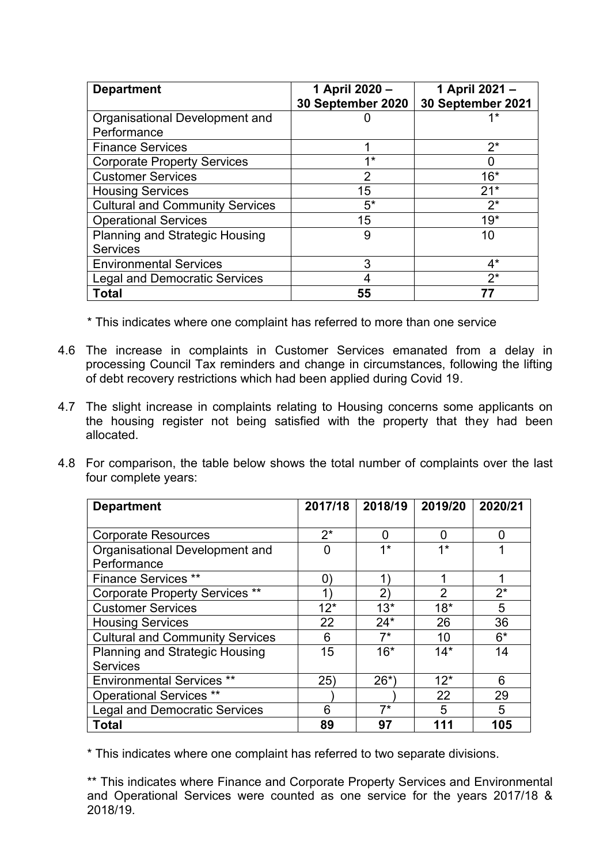| <b>Department</b>                      | 1 April 2020 -    | 1 April 2021 -    |
|----------------------------------------|-------------------|-------------------|
|                                        | 30 September 2020 | 30 September 2021 |
| Organisational Development and         |                   | 1*                |
| Performance                            |                   |                   |
| <b>Finance Services</b>                |                   | $2^*$             |
| <b>Corporate Property Services</b>     | <b>4*</b>         |                   |
| <b>Customer Services</b>               | $\overline{2}$    | $16*$             |
| <b>Housing Services</b>                | 15                | $21*$             |
| <b>Cultural and Community Services</b> | $5*$              | $2^*$             |
| <b>Operational Services</b>            | 15                | $19*$             |
| <b>Planning and Strategic Housing</b>  | 9                 | 10                |
| <b>Services</b>                        |                   |                   |
| <b>Environmental Services</b>          | 3                 | $4^*$             |
| <b>Legal and Democratic Services</b>   | 4                 | $2^*$             |
| Total                                  | 55                |                   |

\* This indicates where one complaint has referred to more than one service

- 4.6 The increase in complaints in Customer Services emanated from a delay in processing Council Tax reminders and change in circumstances, following the lifting of debt recovery restrictions which had been applied during Covid 19.
- 4.7 The slight increase in complaints relating to Housing concerns some applicants on the housing register not being satisfied with the property that they had been allocated.
- 4.8 For comparison, the table below shows the total number of complaints over the last four complete years:

| <b>Department</b>                      | 2017/18        | 2018/19 | 2019/20        | 2020/21 |
|----------------------------------------|----------------|---------|----------------|---------|
|                                        |                |         |                |         |
| <b>Corporate Resources</b>             | $2^*$          | 0       | 0              | O       |
| Organisational Development and         | $\overline{0}$ | $1*$    | $1*$           |         |
| Performance                            |                |         |                |         |
| <b>Finance Services **</b>             | 0)             |         | 1              | 1       |
| <b>Corporate Property Services **</b>  | 1)             | 2)      | $\overline{2}$ | $2^*$   |
| <b>Customer Services</b>               | $12*$          | $13*$   | $18*$          | 5       |
| <b>Housing Services</b>                | 22             | $24*$   | 26             | 36      |
| <b>Cultural and Community Services</b> | 6              | $7^*$   | 10             | $6*$    |
| <b>Planning and Strategic Housing</b>  | 15             | $16*$   | $14*$          | 14      |
| <b>Services</b>                        |                |         |                |         |
| <b>Environmental Services **</b>       | 25)            | $26^*$  | $12*$          | 6       |
| <b>Operational Services **</b>         |                |         | 22             | 29      |
| <b>Legal and Democratic Services</b>   | 6              | $7^*$   | 5              | 5       |
| <b>Total</b>                           | 89             | 97      | 111            | 105     |

\* This indicates where one complaint has referred to two separate divisions.

\*\* This indicates where Finance and Corporate Property Services and Environmental and Operational Services were counted as one service for the years 2017/18 & 2018/19.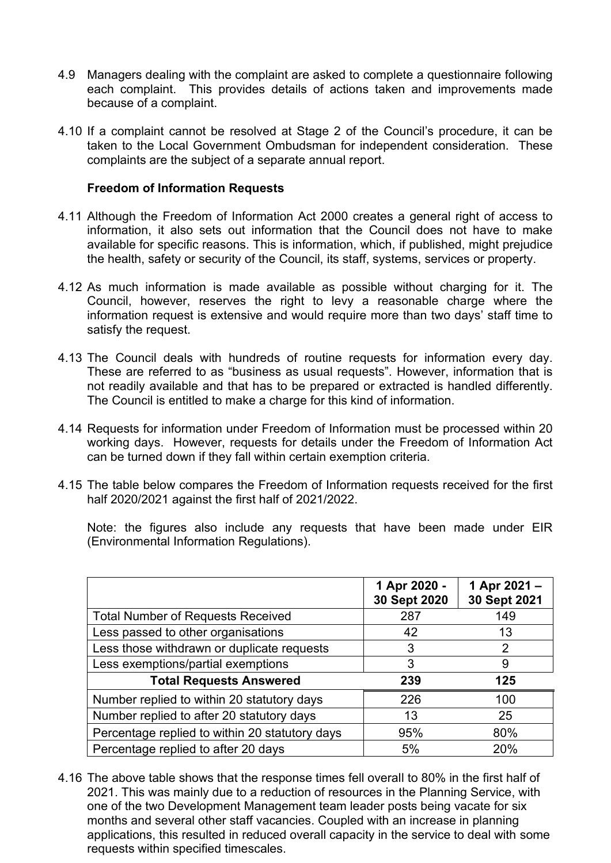- 4.9 Managers dealing with the complaint are asked to complete a questionnaire following each complaint. This provides details of actions taken and improvements made because of a complaint.
- 4.10 If a complaint cannot be resolved at Stage 2 of the Council's procedure, it can be taken to the Local Government Ombudsman for independent consideration. These complaints are the subject of a separate annual report.

### **Freedom of Information Requests**

- 4.11 Although the Freedom of Information Act 2000 creates a general right of access to information, it also sets out information that the Council does not have to make available for specific reasons. This is information, which, if published, might prejudice the health, safety or security of the Council, its staff, systems, services or property.
- 4.12 As much information is made available as possible without charging for it. The Council, however, reserves the right to levy a reasonable charge where the information request is extensive and would require more than two days' staff time to satisfy the request.
- 4.13 The Council deals with hundreds of routine requests for information every day. These are referred to as "business as usual requests". However, information that is not readily available and that has to be prepared or extracted is handled differently. The Council is entitled to make a charge for this kind of information.
- 4.14 Requests for information under Freedom of Information must be processed within 20 working days. However, requests for details under the Freedom of Information Act can be turned down if they fall within certain exemption criteria.
- 4.15 The table below compares the Freedom of Information requests received for the first half 2020/2021 against the first half of 2021/2022.

 Note: the figures also include any requests that have been made under EIR (Environmental Information Regulations).

|                                                | 1 Apr 2020 -<br>30 Sept 2020 | 1 Apr 2021 -<br>30 Sept 2021 |
|------------------------------------------------|------------------------------|------------------------------|
| <b>Total Number of Requests Received</b>       | 287                          | 149                          |
| Less passed to other organisations             | 42                           | 13                           |
| Less those withdrawn or duplicate requests     | 3                            | 2                            |
| Less exemptions/partial exemptions             | 3                            | 9                            |
| <b>Total Requests Answered</b>                 | 239                          | 125                          |
| Number replied to within 20 statutory days     | 226                          | 100                          |
| Number replied to after 20 statutory days      | 13                           | 25                           |
| Percentage replied to within 20 statutory days | 95%                          | 80%                          |
| Percentage replied to after 20 days            | 5%                           | 20%                          |

4.16 The above table shows that the response times fell overall to 80% in the first half of 2021. This was mainly due to a reduction of resources in the Planning Service, with one of the two Development Management team leader posts being vacate for six months and several other staff vacancies. Coupled with an increase in planning applications, this resulted in reduced overall capacity in the service to deal with some requests within specified timescales.